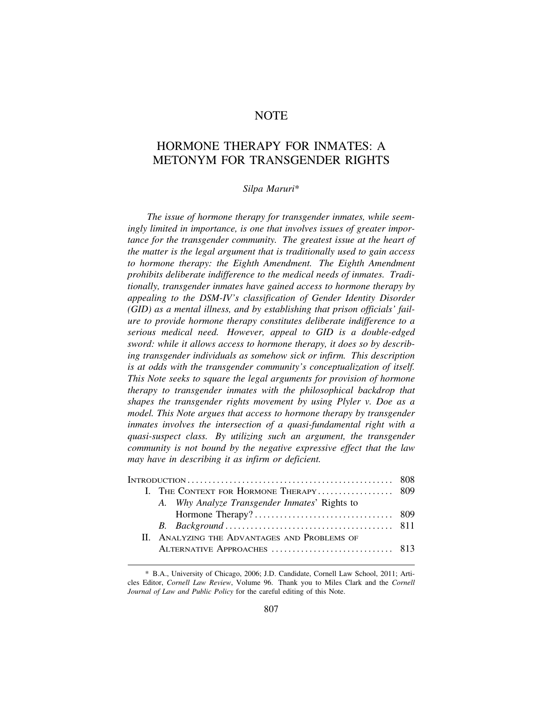# **NOTE**

# HORMONE THERAPY FOR INMATES: A METONYM FOR TRANSGENDER RIGHTS

### *Silpa Maruri*\*

*The issue of hormone therapy for transgender inmates, while seemingly limited in importance, is one that involves issues of greater importance for the transgender community. The greatest issue at the heart of the matter is the legal argument that is traditionally used to gain access to hormone therapy: the Eighth Amendment. The Eighth Amendment prohibits deliberate indifference to the medical needs of inmates. Traditionally, transgender inmates have gained access to hormone therapy by appealing to the DSM-IV's classification of Gender Identity Disorder (GID) as a mental illness, and by establishing that prison officials' failure to provide hormone therapy constitutes deliberate indifference to a serious medical need. However, appeal to GID is a double-edged sword: while it allows access to hormone therapy, it does so by describing transgender individuals as somehow sick or infirm. This description is at odds with the transgender community's conceptualization of itself. This Note seeks to square the legal arguments for provision of hormone therapy to transgender inmates with the philosophical backdrop that shapes the transgender rights movement by using Plyler v. Doe as a model. This Note argues that access to hormone therapy by transgender inmates involves the intersection of a quasi-fundamental right with a quasi-suspect class. By utilizing such an argument, the transgender community is not bound by the negative expressive effect that the law may have in describing it as infirm or deficient.* 

| I. THE CONTEXT FOR HORMONE THERAPY 809 |                                               |  |
|----------------------------------------|-----------------------------------------------|--|
|                                        | A. Why Analyze Transgender Inmates' Rights to |  |
|                                        |                                               |  |
|                                        |                                               |  |
|                                        | II. ANALYZING THE ADVANTAGES AND PROBLEMS OF  |  |
|                                        |                                               |  |
|                                        |                                               |  |

<sup>\*</sup> B.A., University of Chicago, 2006; J.D. Candidate, Cornell Law School, 2011; Articles Editor, *Cornell Law Review*, Volume 96. Thank you to Miles Clark and the *Cornell Journal of Law and Public Policy* for the careful editing of this Note.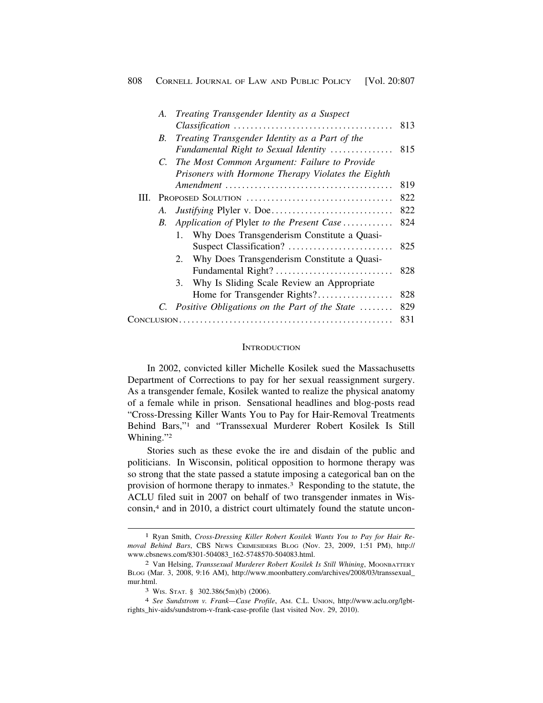|      | A. | Treating Transgender Identity as a Suspect         |     |
|------|----|----------------------------------------------------|-----|
|      |    |                                                    | 813 |
|      | B. | Treating Transgender Identity as a Part of the     |     |
|      |    | Fundamental Right to Sexual Identity               | 815 |
|      |    | C. The Most Common Argument: Failure to Provide    |     |
|      |    | Prisoners with Hormone Therapy Violates the Eighth |     |
|      |    |                                                    | 819 |
| III. |    |                                                    | 822 |
|      | A. |                                                    | 822 |
|      | B. | Application of Plyler to the Present Case          | 824 |
|      |    | 1. Why Does Transgenderism Constitute a Quasi-     |     |
|      |    | Suspect Classification?                            | 825 |
|      |    | 2. Why Does Transgenderism Constitute a Quasi-     |     |
|      |    | Fundamental Right?                                 | 828 |
|      |    | Why Is Sliding Scale Review an Appropriate<br>3.   |     |
|      |    | Home for Transgender Rights?                       | 828 |
|      |    | C. Positive Obligations on the Part of the State   | 829 |
|      |    |                                                    |     |
|      |    |                                                    |     |

#### **INTRODUCTION**

In 2002, convicted killer Michelle Kosilek sued the Massachusetts Department of Corrections to pay for her sexual reassignment surgery. As a transgender female, Kosilek wanted to realize the physical anatomy of a female while in prison. Sensational headlines and blog-posts read "Cross-Dressing Killer Wants You to Pay for Hair-Removal Treatments Behind Bars,"1 and "Transsexual Murderer Robert Kosilek Is Still Whining."2

Stories such as these evoke the ire and disdain of the public and politicians. In Wisconsin, political opposition to hormone therapy was so strong that the state passed a statute imposing a categorical ban on the provision of hormone therapy to inmates.<sup>3</sup> Responding to the statute, the ACLU filed suit in 2007 on behalf of two transgender inmates in Wisconsin,4 and in 2010, a district court ultimately found the statute uncon-

<sup>1</sup> Ryan Smith, *Cross-Dressing Killer Robert Kosilek Wants You to Pay for Hair Removal Behind Bars*, CBS NEWS CRIMESIDERS BLOG (Nov. 23, 2009, 1:51 PM), http:// [www.cbsnews.com/8301-504083\\_162-5748570-504083.html](www.cbsnews.com/8301-504083_162-5748570-504083.html).

<sup>2</sup> Van Helsing, *Transsexual Murderer Robert Kosilek Is Still Whining*, MOONBATTERY BLOG (Mar. 3, 2008, 9:16 AM), [http://www.moonbattery.com/archives/2008/03/transsexual\\_](http://www.moonbattery.com/archives/2008/03/transsexual) mur.html.

<sup>3</sup> WIS. STAT. § 302.386(5m)(b) (2006).

<sup>4</sup> *See Sundstrom v. Frank—Case Profile*, AM. C.L. UNION, <http://www.aclu.org/lgbt>rights\_hiv-aids/sundstrom-v-frank-case-profile (last visited Nov. 29, 2010).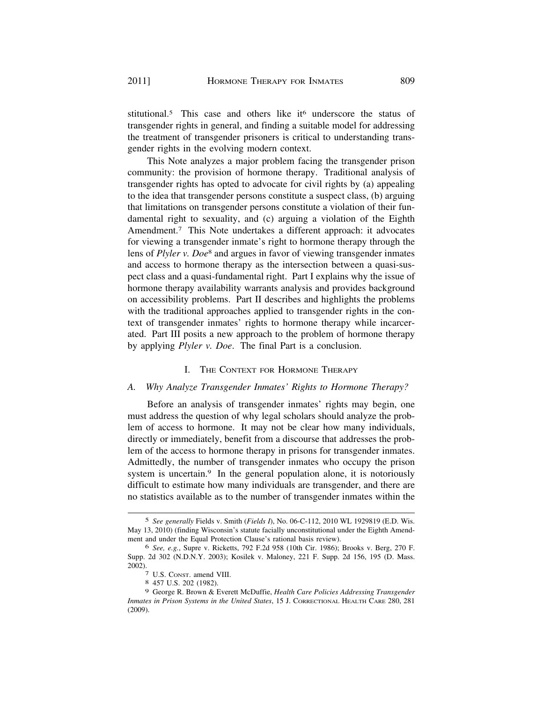stitutional.<sup>5</sup> This case and others like it<sup>6</sup> underscore the status of transgender rights in general, and finding a suitable model for addressing the treatment of transgender prisoners is critical to understanding transgender rights in the evolving modern context.

This Note analyzes a major problem facing the transgender prison community: the provision of hormone therapy. Traditional analysis of transgender rights has opted to advocate for civil rights by (a) appealing to the idea that transgender persons constitute a suspect class, (b) arguing that limitations on transgender persons constitute a violation of their fundamental right to sexuality, and (c) arguing a violation of the Eighth Amendment.<sup>7</sup> This Note undertakes a different approach: it advocates for viewing a transgender inmate's right to hormone therapy through the lens of *Plyler v. Doe*8 and argues in favor of viewing transgender inmates and access to hormone therapy as the intersection between a quasi-suspect class and a quasi-fundamental right. Part I explains why the issue of hormone therapy availability warrants analysis and provides background on accessibility problems. Part II describes and highlights the problems with the traditional approaches applied to transgender rights in the context of transgender inmates' rights to hormone therapy while incarcerated. Part III posits a new approach to the problem of hormone therapy by applying *Plyler v. Doe*. The final Part is a conclusion.

#### I. THE CONTEXT FOR HORMONE THERAPY

### *A. Why Analyze Transgender Inmates' Rights to Hormone Therapy?*

Before an analysis of transgender inmates' rights may begin, one must address the question of why legal scholars should analyze the problem of access to hormone. It may not be clear how many individuals, directly or immediately, benefit from a discourse that addresses the problem of the access to hormone therapy in prisons for transgender inmates. Admittedly, the number of transgender inmates who occupy the prison system is uncertain.<sup>9</sup> In the general population alone, it is notoriously difficult to estimate how many individuals are transgender, and there are no statistics available as to the number of transgender inmates within the

<sup>5</sup> *See generally* Fields v. Smith (*Fields I*), No. 06-C-112, 2010 WL 1929819 (E.D. Wis. May 13, 2010) (finding Wisconsin's statute facially unconstitutional under the Eighth Amendment and under the Equal Protection Clause's rational basis review).

<sup>6</sup> *See, e.g.*, Supre v. Ricketts, 792 F.2d 958 (10th Cir. 1986); Brooks v. Berg, 270 F. Supp. 2d 302 (N.D.N.Y. 2003); Kosilek v. Maloney, 221 F. Supp. 2d 156, 195 (D. Mass. 2002). 7 U.S. CONST. amend VIII. 8 457 U.S. 202 (1982).

<sup>9</sup> George R. Brown & Everett McDuffie, *Health Care Policies Addressing Transgender Inmates in Prison Systems in the United States*, 15 J. CORRECTIONAL HEALTH CARE 280, 281 (2009).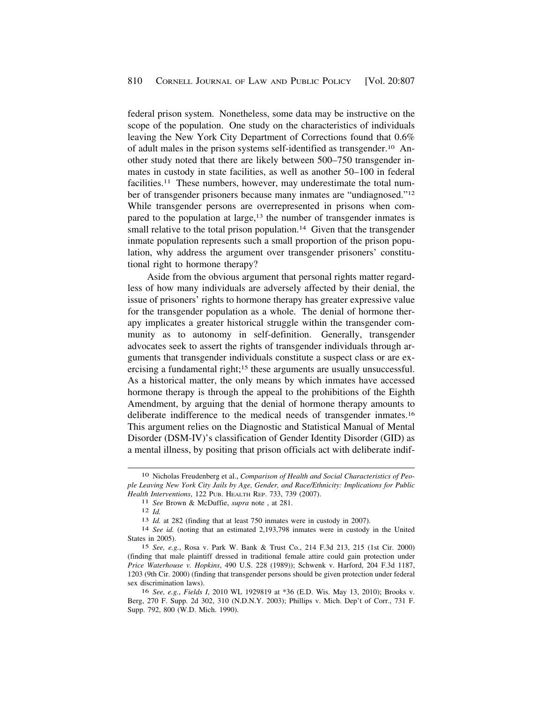federal prison system. Nonetheless, some data may be instructive on the scope of the population. One study on the characteristics of individuals leaving the New York City Department of Corrections found that 0.6% of adult males in the prison systems self-identified as [transgender.10](https://transgender.10) Another study noted that there are likely between 500–750 transgender inmates in custody in state facilities, as well as another 50–100 in federal facilities.<sup>11</sup> These numbers, however, may underestimate the total number of transgender prisoners because many inmates are "undiagnosed."12 While transgender persons are overrepresented in prisons when compared to the population at large,<sup>13</sup> the number of transgender inmates is small relative to the total prison population.<sup>14</sup> Given that the transgender inmate population represents such a small proportion of the prison population, why address the argument over transgender prisoners' constitutional right to hormone therapy?

Aside from the obvious argument that personal rights matter regardless of how many individuals are adversely affected by their denial, the issue of prisoners' rights to hormone therapy has greater expressive value for the transgender population as a whole. The denial of hormone therapy implicates a greater historical struggle within the transgender community as to autonomy in self-definition. Generally, transgender advocates seek to assert the rights of transgender individuals through arguments that transgender individuals constitute a suspect class or are exercising a fundamental right;<sup>15</sup> these arguments are usually unsuccessful. As a historical matter, the only means by which inmates have accessed hormone therapy is through the appeal to the prohibitions of the Eighth Amendment, by arguing that the denial of hormone therapy amounts to deliberate indifference to the medical needs of transgender [inmates.16](https://inmates.16)  This argument relies on the Diagnostic and Statistical Manual of Mental Disorder (DSM-IV)'s classification of Gender Identity Disorder (GID) as a mental illness, by positing that prison officials act with deliberate indif-

<sup>10</sup> Nicholas Freudenberg et al., *Comparison of Health and Social Characteristics of People Leaving New York City Jails by Age, Gender, and Race/Ethnicity: Implications for Public*  Health Interventions, 122 PUB. HEALTH REP. 733, 739 (2007).<br>
<sup>11</sup> See Brown & McDuffie, *supra* note , at 281.<br>
<sup>12</sup> Id.<br>
<sup>13</sup> Id. at 282 (finding that at least 750 inmates were in custody in 2007).<br>
<sup>14</sup> See id. (noting t

States in 2005).

<sup>15</sup> *See, e.g.*, Rosa v. Park W. Bank & Trust Co., 214 F.3d 213, 215 (1st Cir. 2000) (finding that male plaintiff dressed in traditional female attire could gain protection under *Price Waterhouse v. Hopkins*, 490 U.S. 228 (1989)); Schwenk v. Harford, 204 F.3d 1187, 1203 (9th Cir. 2000) (finding that transgender persons should be given protection under federal sex discrimination laws).

<sup>16</sup> *See, e.g.*, *Fields I*, 2010 WL 1929819 at \*36 (E.D. Wis. May 13, 2010); Brooks v. Berg, 270 F. Supp. 2d 302, 310 (N.D.N.Y. 2003); Phillips v. Mich. Dep't of Corr., 731 F. Supp. 792, 800 (W.D. Mich. 1990).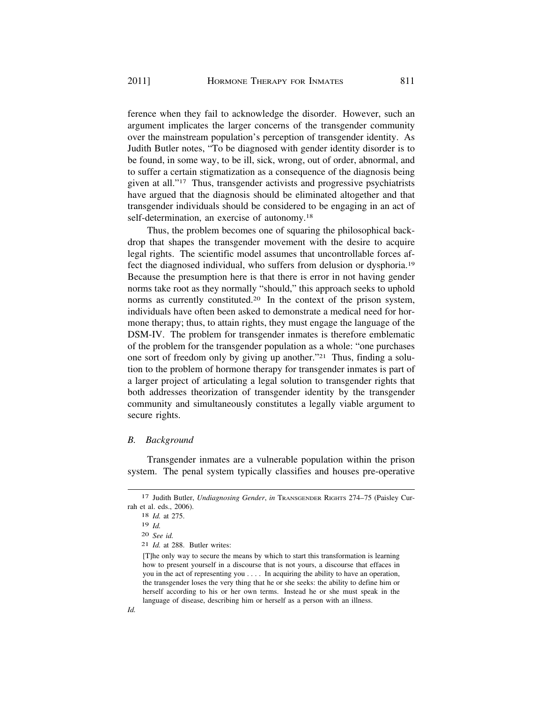ference when they fail to acknowledge the disorder. However, such an argument implicates the larger concerns of the transgender community over the mainstream population's perception of transgender identity. As Judith Butler notes, "To be diagnosed with gender identity disorder is to be found, in some way, to be ill, sick, wrong, out of order, abnormal, and to suffer a certain stigmatization as a consequence of the diagnosis being given at all."17 Thus, transgender activists and progressive psychiatrists have argued that the diagnosis should be eliminated altogether and that transgender individuals should be considered to be engaging in an act of self-determination, an exercise of [autonomy.18](https://autonomy.18)

Thus, the problem becomes one of squaring the philosophical backdrop that shapes the transgender movement with the desire to acquire legal rights. The scientific model assumes that uncontrollable forces affect the diagnosed individual, who suffers from delusion or [dysphoria.19](https://dysphoria.19)  Because the presumption here is that there is error in not having gender norms take root as they normally "should," this approach seeks to uphold norms as currently constituted.<sup>20</sup> In the context of the prison system, individuals have often been asked to demonstrate a medical need for hormone therapy; thus, to attain rights, they must engage the language of the DSM-IV. The problem for transgender inmates is therefore emblematic of the problem for the transgender population as a whole: "one purchases one sort of freedom only by giving up another."21 Thus, finding a solution to the problem of hormone therapy for transgender inmates is part of a larger project of articulating a legal solution to transgender rights that both addresses theorization of transgender identity by the transgender community and simultaneously constitutes a legally viable argument to secure rights.

#### *B. Background*

Transgender inmates are a vulnerable population within the prison system. The penal system typically classifies and houses pre-operative

<sup>17</sup> Judith Butler, *Undiagnosing Gender*, *in* TRANSGENDER RIGHTS 274–75 (Paisley Currah et al. eds., 2006).

<sup>18</sup> *Id.* at 275.

<sup>19</sup> *Id.* 

<sup>20</sup> *See id.* 

<sup>21</sup> *Id.* at 288. Butler writes:

<sup>[</sup>T]he only way to secure the means by which to start this transformation is learning how to present yourself in a discourse that is not yours, a discourse that effaces in you in the act of representing you . . . . In acquiring the ability to have an operation, the transgender loses the very thing that he or she seeks: the ability to define him or herself according to his or her own terms. Instead he or she must speak in the language of disease, describing him or herself as a person with an illness.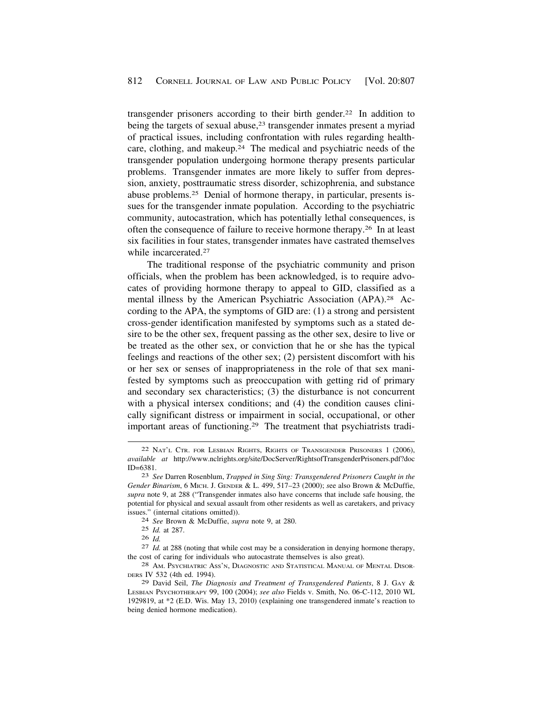transgender prisoners according to their birth [gender.22](https://gender.22) In addition to being the targets of sexual abuse,<sup>23</sup> transgender inmates present a myriad of practical issues, including confrontation with rules regarding healthcare, clothing, and [makeup.24](https://makeup.24) The medical and psychiatric needs of the transgender population undergoing hormone therapy presents particular problems. Transgender inmates are more likely to suffer from depression, anxiety, posttraumatic stress disorder, schizophrenia, and substance abuse [problems.25](https://problems.25) Denial of hormone therapy, in particular, presents issues for the transgender inmate population. According to the psychiatric community, autocastration, which has potentially lethal consequences, is often the consequence of failure to receive hormone [therapy.26](https://therapy.26) In at least six facilities in four states, transgender inmates have castrated themselves while incarcerated.<sup>27</sup>

The traditional response of the psychiatric community and prison officials, when the problem has been acknowledged, is to require advocates of providing hormone therapy to appeal to GID, classified as a mental illness by the American Psychiatric Association (APA).28 According to the APA, the symptoms of GID are: (1) a strong and persistent cross-gender identification manifested by symptoms such as a stated desire to be the other sex, frequent passing as the other sex, desire to live or be treated as the other sex, or conviction that he or she has the typical feelings and reactions of the other sex; (2) persistent discomfort with his or her sex or senses of inappropriateness in the role of that sex manifested by symptoms such as preoccupation with getting rid of primary and secondary sex characteristics; (3) the disturbance is not concurrent with a physical intersex conditions; and (4) the condition causes clinically significant distress or impairment in social, occupational, or other important areas of [functioning.29](https://functioning.29) The treatment that psychiatrists tradi-

<sup>22</sup> NAT'L CTR. FOR LESBIAN RIGHTS, RIGHTS OF TRANSGENDER PRISONERS 1 (2006), *available at* <http://www.nclrights.org/site/DocServer/RightsofTransgenderPrisoners.pdf?doc> ID=6381. 23 *See* Darren Rosenblum, *Trapped in Sing Sing: Transgendered Prisoners Caught in the* 

*Gender Binarism*, 6 MICH. J. GENDER & L. 499, 517–23 (2000); *s*ee also Brown & McDuffie, *supra* note 9, at 288 ("Transgender inmates also have concerns that include safe housing, the potential for physical and sexual assault from other residents as well as caretakers, and privacy issues." (internal citations omitted)). 24 *See* Brown & McDuffie, *supra* note 9, at 280.

<sup>25</sup> *Id.* at 287.

<sup>26</sup>*Id.* 27 *Id.* at 288 (noting that while cost may be a consideration in denying hormone therapy, the cost of caring for individuals who autocastrate themselves is also great).<br><sup>28</sup> AM. PSYCHIATRIC ASS'N, DIAGNOSTIC AND STATISTICAL MANUAL OF MENTAL DISOR-

DERS IV 532 (4th ed. 1994).

<sup>29</sup> David Seil, *The Diagnosis and Treatment of Transgendered Patients*, 8 J. GAY & LESBIAN PSYCHOTHERAPY 99, 100 (2004); *see also* Fields v. Smith, No. 06-C-112, 2010 WL 1929819, at \*2 (E.D. Wis. May 13, 2010) (explaining one transgendered inmate's reaction to being denied hormone medication).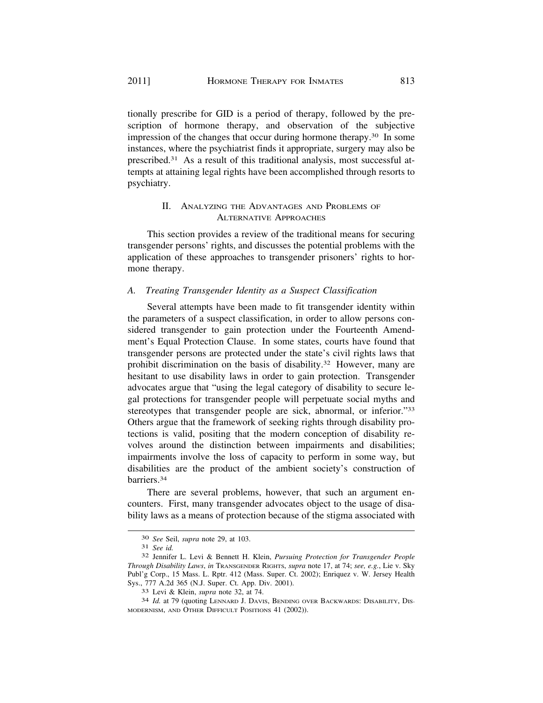tionally prescribe for GID is a period of therapy, followed by the prescription of hormone therapy, and observation of the subjective impression of the changes that occur during hormone [therapy.30](https://therapy.30) In some instances, where the psychiatrist finds it appropriate, surgery may also be [prescribed.31](https://prescribed.31) As a result of this traditional analysis, most successful attempts at attaining legal rights have been accomplished through resorts to psychiatry.

# II. ANALYZING THE ADVANTAGES AND PROBLEMS OF ALTERNATIVE APPROACHES

This section provides a review of the traditional means for securing transgender persons' rights, and discusses the potential problems with the application of these approaches to transgender prisoners' rights to hormone therapy.

# *A. Treating Transgender Identity as a Suspect Classification*

Several attempts have been made to fit transgender identity within the parameters of a suspect classification, in order to allow persons considered transgender to gain protection under the Fourteenth Amendment's Equal Protection Clause. In some states, courts have found that transgender persons are protected under the state's civil rights laws that prohibit discrimination on the basis of [disability.32](https://disability.32) However, many are hesitant to use disability laws in order to gain protection. Transgender advocates argue that "using the legal category of disability to secure legal protections for transgender people will perpetuate social myths and stereotypes that transgender people are sick, abnormal, or inferior."33 Others argue that the framework of seeking rights through disability protections is valid, positing that the modern conception of disability revolves around the distinction between impairments and disabilities; impairments involve the loss of capacity to perform in some way, but disabilities are the product of the ambient society's construction of [barriers.34](https://barriers.34)

There are several problems, however, that such an argument encounters. First, many transgender advocates object to the usage of disability laws as a means of protection because of the stigma associated with

<sup>30</sup>*See* Seil, *supra* note 29, at 103. 31 *See id.* 32 Jennifer L. Levi & Bennett H. Klein, *Pursuing Protection for Transgender People Through Disability Laws*, *in* TRANSGENDER RIGHTS, *supra* note 17, at 74; *see, e.g.*, Lie v. Sky Publ'g Corp., 15 Mass. L. Rptr. 412 (Mass. Super. Ct. 2002); Enriquez v. W. Jersey Health Sys., 777 A.2d 365 (N.J. Super. Ct. App. Div. 2001). 33 Levi & Klein, *supra* note 32, at 74. 34 *Id.* at 79 (quoting LENNARD J. DAVIS, BENDING OVER BACKWARDS: DISABILITY, DIS-

MODERNISM, AND OTHER DIFFICULT POSITIONS 41 (2002)).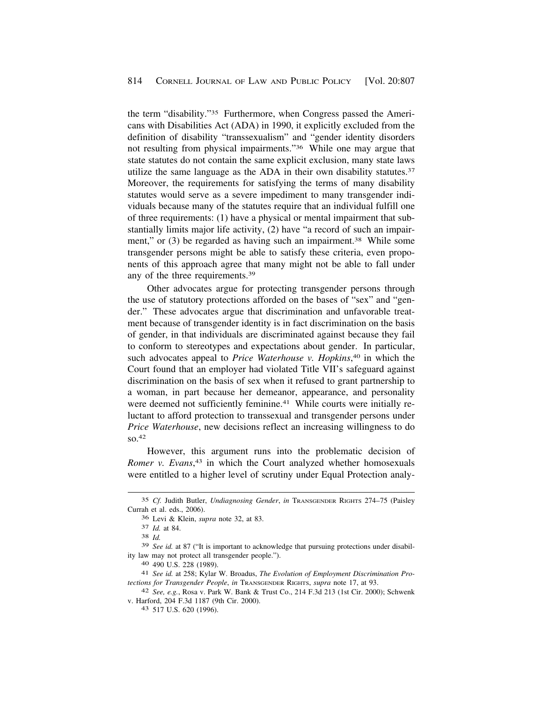the term "disability."35 Furthermore, when Congress passed the Americans with Disabilities Act (ADA) in 1990, it explicitly excluded from the definition of disability "transsexualism" and "gender identity disorders not resulting from physical impairments."36 While one may argue that state statutes do not contain the same explicit exclusion, many state laws utilize the same language as the ADA in their own disability statutes.<sup>37</sup> Moreover, the requirements for satisfying the terms of many disability statutes would serve as a severe impediment to many transgender individuals because many of the statutes require that an individual fulfill one of three requirements: (1) have a physical or mental impairment that substantially limits major life activity, (2) have "a record of such an impairment," or (3) be regarded as having such an impairment.<sup>38</sup> While some transgender persons might be able to satisfy these criteria, even proponents of this approach agree that many might not be able to fall under any of the three [requirements.39](https://requirements.39)

Other advocates argue for protecting transgender persons through the use of statutory protections afforded on the bases of "sex" and "gender." These advocates argue that discrimination and unfavorable treatment because of transgender identity is in fact discrimination on the basis of gender, in that individuals are discriminated against because they fail to conform to stereotypes and expectations about gender. In particular, such advocates appeal to *Price Waterhouse v. Hopkins*, 40 in which the Court found that an employer had violated Title VII's safeguard against discrimination on the basis of sex when it refused to grant partnership to a woman, in part because her demeanor, appearance, and personality were deemed not sufficiently feminine.<sup>41</sup> While courts were initially reluctant to afford protection to transsexual and transgender persons under *Price Waterhouse*, new decisions reflect an increasing willingness to do so.42

However, this argument runs into the problematic decision of *Romer v. Evans*, 43 in which the Court analyzed whether homosexuals were entitled to a higher level of scrutiny under Equal Protection analy-

<sup>35</sup> *Cf.* Judith Butler, *Undiagnosing Gender*, *in* TRANSGENDER RIGHTS 274–75 (Paisley Currah et al. eds., 2006).

<sup>36</sup> Levi & Klein, *supra* note 32, at 83. 37 *Id.* at 84. 38 *Id.* 

<sup>39</sup> *See id.* at 87 ("It is important to acknowledge that pursuing protections under disability law may not protect all transgender people."). 40 490 U.S. 228 (1989). 41 *See id.* at 258; Kylar W. Broadus, *The Evolution of Employment Discrimination Pro-*

*tections for Transgender People*, *in* Transgender RIGHTS, *supra* note 17, at 93.<br><sup>42</sup> *See, e.g.*, Rosa v. Park W. Bank & Trust Co., 214 F.3d 213 (1st Cir. 2000); Schwenk

v. Harford, 204 F.3d 1187 (9th Cir. 2000). 43 517 U.S. 620 (1996).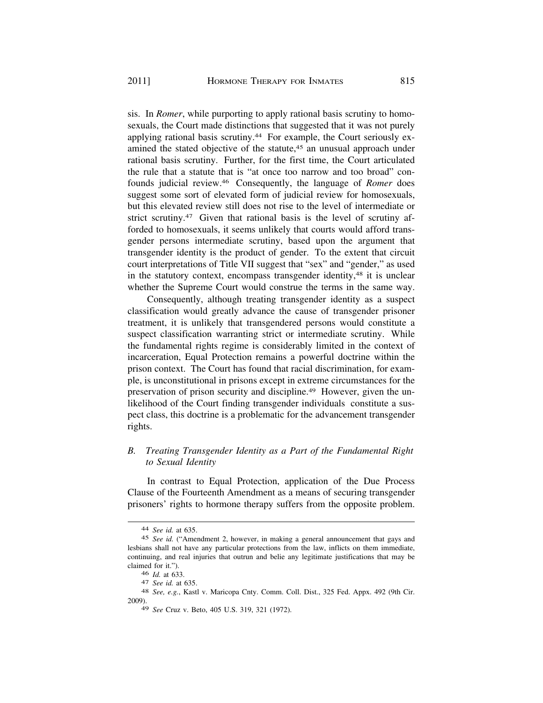sis. In *Romer*, while purporting to apply rational basis scrutiny to homosexuals, the Court made distinctions that suggested that it was not purely applying rational basis [scrutiny.44](https://scrutiny.44) For example, the Court seriously examined the stated objective of the statute,<sup>45</sup> an unusual approach under rational basis scrutiny. Further, for the first time, the Court articulated the rule that a statute that is "at once too narrow and too broad" confounds judicial [review.46](https://review.46) Consequently, the language of *Romer* does suggest some sort of elevated form of judicial review for homosexuals, but this elevated review still does not rise to the level of intermediate or strict scrutiny.<sup>47</sup> Given that rational basis is the level of scrutiny afforded to homosexuals, it seems unlikely that courts would afford transgender persons intermediate scrutiny, based upon the argument that transgender identity is the product of gender. To the extent that circuit court interpretations of Title VII suggest that "sex" and "gender," as used in the statutory context, encompass transgender identity,<sup>48</sup> it is unclear whether the Supreme Court would construe the terms in the same way.

Consequently, although treating transgender identity as a suspect classification would greatly advance the cause of transgender prisoner treatment, it is unlikely that transgendered persons would constitute a suspect classification warranting strict or intermediate scrutiny. While the fundamental rights regime is considerably limited in the context of incarceration, Equal Protection remains a powerful doctrine within the prison context. The Court has found that racial discrimination, for example, is unconstitutional in prisons except in extreme circumstances for the preservation of prison security and [discipline.49](https://discipline.49) However, given the unlikelihood of the Court finding transgender individuals constitute a suspect class, this doctrine is a problematic for the advancement transgender rights.

# *B. Treating Transgender Identity as a Part of the Fundamental Right to Sexual Identity*

In contrast to Equal Protection, application of the Due Process Clause of the Fourteenth Amendment as a means of securing transgender prisoners' rights to hormone therapy suffers from the opposite problem.

<sup>44</sup> *See id.* at 635.

<sup>45</sup> *See id.* ("Amendment 2, however, in making a general announcement that gays and lesbians shall not have any particular protections from the law, inflicts on them immediate, continuing, and real injuries that outrun and belie any legitimate justifications that may be claimed for it.").

<sup>46</sup>*Id.* at 633. 47 *See id.* at 635. 48 *See, e.g.*, Kastl v. Maricopa Cnty. Comm. Coll. Dist., 325 Fed. Appx. 492 (9th Cir. 2009).

<sup>49</sup> *See* Cruz v. Beto, 405 U.S. 319, 321 (1972).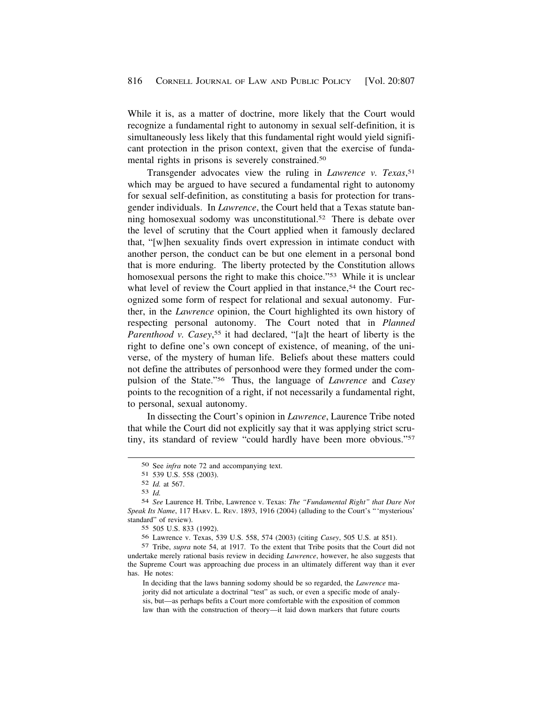While it is, as a matter of doctrine, more likely that the Court would recognize a fundamental right to autonomy in sexual self-definition, it is simultaneously less likely that this fundamental right would yield significant protection in the prison context, given that the exercise of fundamental rights in prisons is severely [constrained.50](https://constrained.50) 

Transgender advocates view the ruling in *Lawrence v. Texas*, 51 which may be argued to have secured a fundamental right to autonomy for sexual self-definition, as constituting a basis for protection for transgender individuals. In *Lawrence*, the Court held that a Texas statute banning homosexual sodomy was unconstitutional.<sup>52</sup> There is debate over the level of scrutiny that the Court applied when it famously declared that, "[w]hen sexuality finds overt expression in intimate conduct with another person, the conduct can be but one element in a personal bond that is more enduring. The liberty protected by the Constitution allows homosexual persons the right to make this choice."<sup>53</sup> While it is unclear what level of review the Court applied in that instance,<sup>54</sup> the Court recognized some form of respect for relational and sexual autonomy. Further, in the *Lawrence* opinion, the Court highlighted its own history of respecting personal autonomy. The Court noted that in *Planned*  Parenthood v. Casey,<sup>55</sup> it had declared, "[a]t the heart of liberty is the right to define one's own concept of existence, of meaning, of the universe, of the mystery of human life. Beliefs about these matters could not define the attributes of personhood were they formed under the compulsion of the State."56 Thus, the language of *Lawrence* and *Casey*  points to the recognition of a right, if not necessarily a fundamental right, to personal, sexual autonomy.

In dissecting the Court's opinion in *Lawrence*, Laurence Tribe noted that while the Court did not explicitly say that it was applying strict scrutiny, its standard of review "could hardly have been more obvious."57

55 505 U.S. 833 (1992).

56 Lawrence v. Texas, 539 U.S. 558, 574 (2003) (citing *Casey*, 505 U.S. at 851).

57 Tribe, *supra* note 54, at 1917. To the extent that Tribe posits that the Court did not undertake merely rational basis review in deciding *Lawrence*, however, he also suggests that the Supreme Court was approaching due process in an ultimately different way than it ever has. He notes:

In deciding that the laws banning sodomy should be so regarded, the *Lawrence* majority did not articulate a doctrinal "test" as such, or even a specific mode of analysis, but—as perhaps befits a Court more comfortable with the exposition of common law than with the construction of theory—it laid down markers that future courts

<sup>50</sup> See *infra* note 72 and accompanying text.

<sup>51 539</sup> U.S. 558 (2003).

<sup>52</sup> *Id.* at 567.

<sup>53</sup> *Id.* 

<sup>54</sup> *See* Laurence H. Tribe, Lawrence v. Texas: *The "Fundamental Right" that Dare Not Speak Its Name*, 117 HARV. L. REV. 1893, 1916 (2004) (alluding to the Court's "'mysterious' standard" of review).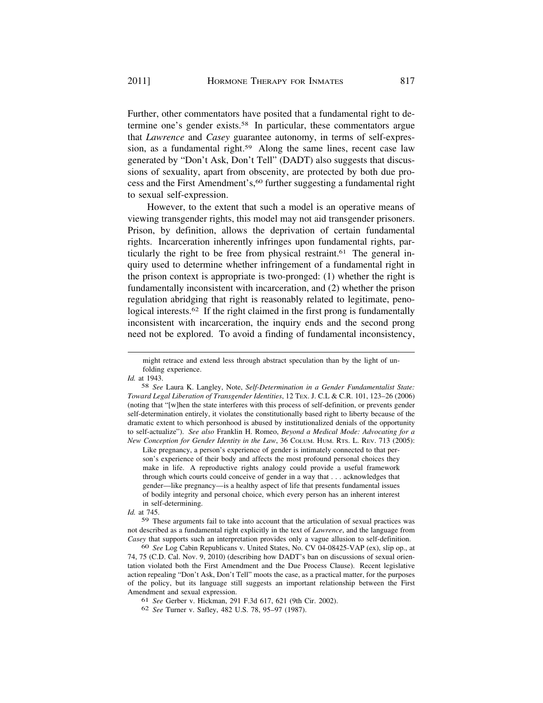Further, other commentators have posited that a fundamental right to determine one's gender [exists.58](https://exists.58) In particular, these commentators argue that *Lawrence* and *Casey* guarantee autonomy, in terms of self-expression, as a fundamental right.<sup>59</sup> Along the same lines, recent case law generated by "Don't Ask, Don't Tell" (DADT) also suggests that discussions of sexuality, apart from obscenity, are protected by both due process and the First Amendment's,<sup>60</sup> further suggesting a fundamental right to sexual self-expression.

However, to the extent that such a model is an operative means of viewing transgender rights, this model may not aid transgender prisoners. Prison, by definition, allows the deprivation of certain fundamental rights. Incarceration inherently infringes upon fundamental rights, particularly the right to be free from physical restraint.<sup>61</sup> The general inquiry used to determine whether infringement of a fundamental right in the prison context is appropriate is two-pronged: (1) whether the right is fundamentally inconsistent with incarceration, and (2) whether the prison regulation abridging that right is reasonably related to legitimate, penological interests.<sup>62</sup> If the right claimed in the first prong is fundamentally inconsistent with incarceration, the inquiry ends and the second prong need not be explored. To avoid a finding of fundamental inconsistency,

might retrace and extend less through abstract speculation than by the light of unfolding experience.

*Id.* at 1943.

58 *See* Laura K. Langley, Note, *Self-Determination in a Gender Fundamentalist State: Toward Legal Liberation of Transgender Identities*, 12 TEX. J. C.L & C.R. 101, 123–26 (2006) (noting that "[w]hen the state interferes with this process of self-definition, or prevents gender self-determination entirely, it violates the constitutionally based right to liberty because of the dramatic extent to which personhood is abused by institutionalized denials of the opportunity to self-actualize"). *See also* Franklin H. Romeo, *Beyond a Medical Mode: Advocating for a New Conception for Gender Identity in the Law*, 36 COLUM. HUM. RTS. L. REV. 713 (2005):

Like pregnancy, a person's experience of gender is intimately connected to that person's experience of their body and affects the most profound personal choices they make in life. A reproductive rights analogy could provide a useful framework through which courts could conceive of gender in a way that . . . acknowledges that gender—like pregnancy—is a healthy aspect of life that presents fundamental issues of bodily integrity and personal choice, which every person has an inherent interest in self-determining.

*Id.* at 745.

59 These arguments fail to take into account that the articulation of sexual practices was not described as a fundamental right explicitly in the text of *Lawrence*, and the language from *Casey* that supports such an interpretation provides only a vague allusion to self-definition.

60 *See* Log Cabin Republicans v. United States, No. CV 04-08425-VAP (ex), slip op., at 74, 75 (C.D. Cal. Nov. 9, 2010) (describing how DADT's ban on discussions of sexual orientation violated both the First Amendment and the Due Process Clause). Recent legislative action repealing "Don't Ask, Don't Tell" moots the case, as a practical matter, for the purposes of the policy, but its language still suggests an important relationship between the First Amendment and sexual expression.

61 *See* Gerber v. Hickman, 291 F.3d 617, 621 (9th Cir. 2002).

<sup>62</sup> *See* Turner v. Safley, 482 U.S. 78, 95–97 (1987).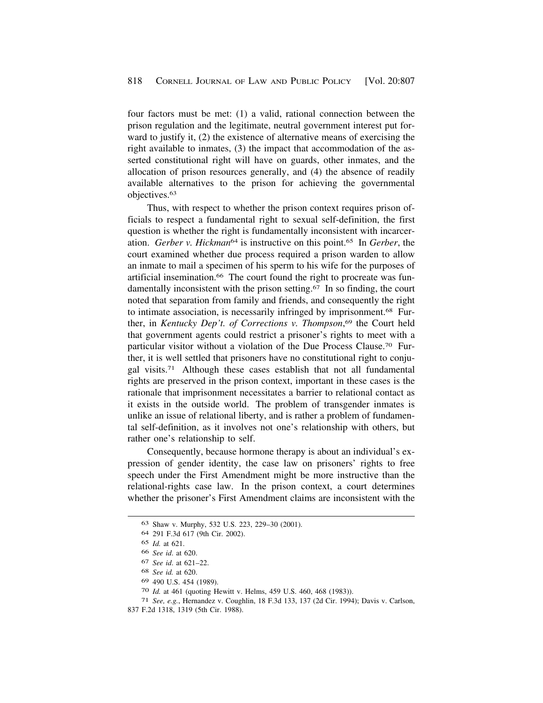four factors must be met: (1) a valid, rational connection between the prison regulation and the legitimate, neutral government interest put forward to justify it, (2) the existence of alternative means of exercising the right available to inmates, (3) the impact that accommodation of the asserted constitutional right will have on guards, other inmates, and the allocation of prison resources generally, and (4) the absence of readily available alternatives to the prison for achieving the governmental [objectives.63](https://objectives.63)

Thus, with respect to whether the prison context requires prison officials to respect a fundamental right to sexual self-definition, the first question is whether the right is fundamentally inconsistent with incarceration. *Gerber v. Hickman*64 is instructive on this [point.65](https://point.65) In *Gerber*, the court examined whether due process required a prison warden to allow an inmate to mail a specimen of his sperm to his wife for the purposes of artificial insemination.<sup>66</sup> The court found the right to procreate was fundamentally inconsistent with the prison setting.<sup>67</sup> In so finding, the court noted that separation from family and friends, and consequently the right to intimate association, is necessarily infringed by [imprisonment.68](https://imprisonment.68) Further, in *Kentucky Dep't. of Corrections v. Thompson*, 69 the Court held that government agents could restrict a prisoner's rights to meet with a particular visitor without a violation of the Due Process [Clause.70](https://Clause.70) Further, it is well settled that prisoners have no constitutional right to conjugal [visits.71](https://visits.71) Although these cases establish that not all fundamental rights are preserved in the prison context, important in these cases is the rationale that imprisonment necessitates a barrier to relational contact as it exists in the outside world. The problem of transgender inmates is unlike an issue of relational liberty, and is rather a problem of fundamental self-definition, as it involves not one's relationship with others, but rather one's relationship to self.

Consequently, because hormone therapy is about an individual's expression of gender identity, the case law on prisoners' rights to free speech under the First Amendment might be more instructive than the relational-rights case law. In the prison context, a court determines whether the prisoner's First Amendment claims are inconsistent with the

69 490 U.S. 454 (1989).

70 *Id.* at 461 (quoting Hewitt v. Helms, 459 U.S. 460, 468 (1983)).

<sup>63</sup> Shaw v. Murphy, 532 U.S. 223, 229–30 (2001).

<sup>64 291</sup> F.3d 617 (9th Cir. 2002).

<sup>65</sup> *Id.* at 621.

<sup>66</sup> *See id*. at 620.

<sup>67</sup> *See id*. at 621–22.

<sup>68</sup> *See id.* at 620.

<sup>71</sup> *See, e.g.*, Hernandez v. Coughlin, 18 F.3d 133, 137 (2d Cir. 1994); Davis v. Carlson, 837 F.2d 1318, 1319 (5th Cir. 1988).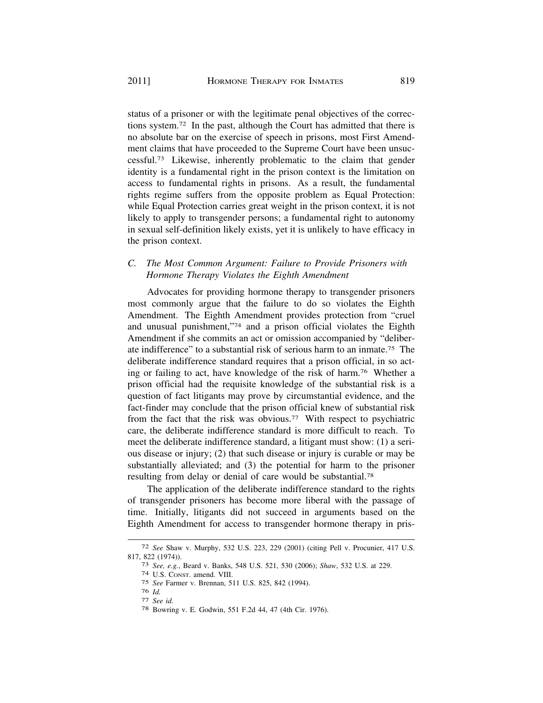status of a prisoner or with the legitimate penal objectives of the corrections [system.72](https://system.72) In the past, although the Court has admitted that there is no absolute bar on the exercise of speech in prisons, most First Amendment claims that have proceeded to the Supreme Court have been unsuc[cessful.73](https://cessful.73) Likewise, inherently problematic to the claim that gender identity is a fundamental right in the prison context is the limitation on access to fundamental rights in prisons. As a result, the fundamental rights regime suffers from the opposite problem as Equal Protection: while Equal Protection carries great weight in the prison context, it is not likely to apply to transgender persons; a fundamental right to autonomy in sexual self-definition likely exists, yet it is unlikely to have efficacy in the prison context.

# *C. The Most Common Argument: Failure to Provide Prisoners with Hormone Therapy Violates the Eighth Amendment*

Advocates for providing hormone therapy to transgender prisoners most commonly argue that the failure to do so violates the Eighth Amendment. The Eighth Amendment provides protection from "cruel and unusual punishment,"74 and a prison official violates the Eighth Amendment if she commits an act or omission accompanied by "deliberate indifference" to a substantial risk of serious harm to an [inmate.75](https://inmate.75) The deliberate indifference standard requires that a prison official, in so acting or failing to act, have knowledge of the risk of harm.76 Whether a prison official had the requisite knowledge of the substantial risk is a question of fact litigants may prove by circumstantial evidence, and the fact-finder may conclude that the prison official knew of substantial risk from the fact that the risk was [obvious.77](https://obvious.77) With respect to psychiatric care, the deliberate indifference standard is more difficult to reach. To meet the deliberate indifference standard, a litigant must show: (1) a serious disease or injury; (2) that such disease or injury is curable or may be substantially alleviated; and (3) the potential for harm to the prisoner resulting from delay or denial of care would be [substantial.78](https://substantial.78) 

The application of the deliberate indifference standard to the rights of transgender prisoners has become more liberal with the passage of time. Initially, litigants did not succeed in arguments based on the Eighth Amendment for access to transgender hormone therapy in pris-

<sup>72</sup> *See* Shaw v. Murphy, 532 U.S. 223, 229 (2001) (citing Pell v. Procunier, 417 U.S. 817, 822 (1974)). 73 *See, e.g.*, Beard v. Banks, 548 U.S. 521, 530 (2006); *Shaw*, 532 U.S. at 229. 74 U.S. CONST. amend. VIII.

<sup>75</sup> *See* Farmer v. Brennan, 511 U.S. 825, 842 (1994).

<sup>76</sup>*Id.* 77 *See id.* 78 Bowring v. E. Godwin, 551 F.2d 44, 47 (4th Cir. 1976).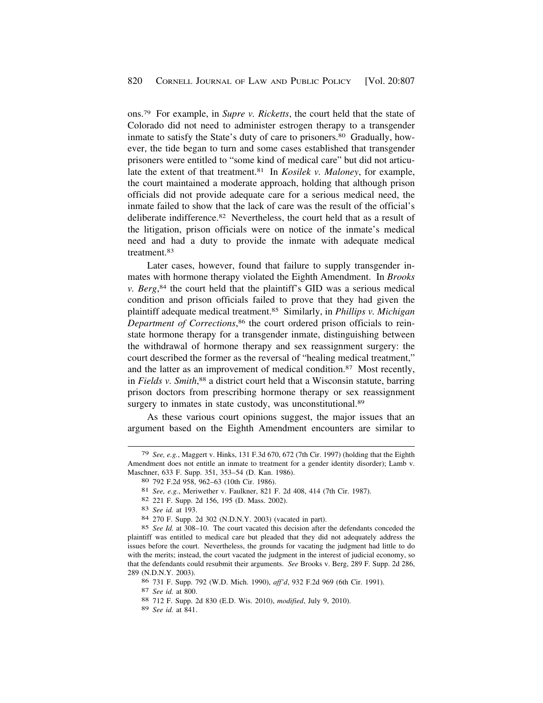ons.79 For example, in *Supre v. Ricketts*, the court held that the state of Colorado did not need to administer estrogen therapy to a transgender inmate to satisfy the State's duty of care to [prisoners.80](https://prisoners.80) Gradually, however, the tide began to turn and some cases established that transgender prisoners were entitled to "some kind of medical care" but did not articulate the extent of that [treatment.81](https://treatment.81) In *Kosilek v. Maloney*, for example, the court maintained a moderate approach, holding that although prison officials did not provide adequate care for a serious medical need, the inmate failed to show that the lack of care was the result of the official's deliberate [indifference.82](https://indifference.82) Nevertheless, the court held that as a result of the litigation, prison officials were on notice of the inmate's medical need and had a duty to provide the inmate with adequate medical [treatment.83](https://treatment.83)

Later cases, however, found that failure to supply transgender inmates with hormone therapy violated the Eighth Amendment. In *Brooks v. Berg*, 84 the court held that the plaintiff's GID was a serious medical condition and prison officials failed to prove that they had given the plaintiff adequate medical [treatment.85](https://treatment.85) Similarly, in *Phillips v. Michigan Department of Corrections*, 86 the court ordered prison officials to reinstate hormone therapy for a transgender inmate, distinguishing between the withdrawal of hormone therapy and sex reassignment surgery: the court described the former as the reversal of "healing medical treatment," and the latter as an improvement of medical [condition.87](https://condition.87) Most recently, in *Fields v. Smith*, 88 a district court held that a Wisconsin statute, barring prison doctors from prescribing hormone therapy or sex reassignment surgery to inmates in state custody, was unconstitutional.<sup>89</sup>

As these various court opinions suggest, the major issues that an argument based on the Eighth Amendment encounters are similar to

<sup>79</sup> *See, e.g.*, Maggert v. Hinks, 131 F.3d 670, 672 (7th Cir. 1997) (holding that the Eighth Amendment does not entitle an inmate to treatment for a gender identity disorder); Lamb v. Maschner, 633 F. Supp. 351, 353–54 (D. Kan. 1986). 80 792 F.2d 958, 962–63 (10th Cir. 1986).

<sup>81</sup> *See, e.g.*, Meriwether v. Faulkner, 821 F. 2d 408, 414 (7th Cir. 1987).

<sup>82 221</sup> F. Supp. 2d 156, 195 (D. Mass. 2002). 83 *See id.* at 193.

<sup>84 270</sup> F. Supp. 2d 302 (N.D.N.Y. 2003) (vacated in part).

<sup>85</sup> *See Id.* at 308–10. The court vacated this decision after the defendants conceded the plaintiff was entitled to medical care but pleaded that they did not adequately address the issues before the court. Nevertheless, the grounds for vacating the judgment had little to do with the merits; instead, the court vacated the judgment in the interest of judicial economy, so that the defendants could resubmit their arguments. *See* Brooks v. Berg, 289 F. Supp. 2d 286, 289 (N.D.N.Y. 2003).

<sup>86 731</sup> F. Supp. 792 (W.D. Mich. 1990), *aff'd*, 932 F.2d 969 (6th Cir. 1991). 87 *See id.* at 800. 88 712 F. Supp. 2d 830 (E.D. Wis. 2010), *modified*, July 9, 2010).

<sup>89</sup> *See id.* at 841.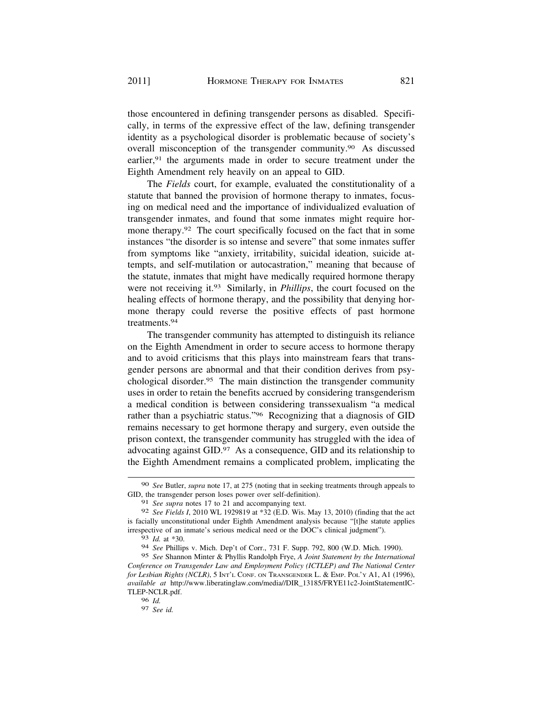those encountered in defining transgender persons as disabled. Specifically, in terms of the expressive effect of the law, defining transgender identity as a psychological disorder is problematic because of society's overall misconception of the transgender [community.90](https://community.90) As discussed earlier,<sup>91</sup> the arguments made in order to secure treatment under the Eighth Amendment rely heavily on an appeal to GID.

The *Fields* court, for example, evaluated the constitutionality of a statute that banned the provision of hormone therapy to inmates, focusing on medical need and the importance of individualized evaluation of transgender inmates, and found that some inmates might require hormone therapy.<sup>92</sup> The court specifically focused on the fact that in some instances "the disorder is so intense and severe" that some inmates suffer from symptoms like "anxiety, irritability, suicidal ideation, suicide attempts, and self-mutilation or autocastration," meaning that because of the statute, inmates that might have medically required hormone therapy were not receiving it.93 Similarly, in *Phillips*, the court focused on the healing effects of hormone therapy, and the possibility that denying hormone therapy could reverse the positive effects of past hormone [treatments.94](https://treatments.94) 

The transgender community has attempted to distinguish its reliance on the Eighth Amendment in order to secure access to hormone therapy and to avoid criticisms that this plays into mainstream fears that transgender persons are abnormal and that their condition derives from psychological [disorder.95](https://disorder.95) The main distinction the transgender community uses in order to retain the benefits accrued by considering transgenderism a medical condition is between considering transsexualism "a medical rather than a psychiatric status."96 Recognizing that a diagnosis of GID remains necessary to get hormone therapy and surgery, even outside the prison context, the transgender community has struggled with the idea of advocating against GID.97 As a consequence, GID and its relationship to the Eighth Amendment remains a complicated problem, implicating the

<sup>90</sup> *See* Butler, *supra* note 17, at 275 (noting that in seeking treatments through appeals to GID, the transgender person loses power over self-definition).

<sup>91</sup> *See supra* notes 17 to 21 and accompanying text.

<sup>92</sup> *See Fields I*, 2010 WL 1929819 at \*32 (E.D. Wis. May 13, 2010) (finding that the act is facially unconstitutional under Eighth Amendment analysis because "[t]he statute applies irrespective of an inmate's serious medical need or the DOC's clinical judgment").

<sup>93</sup> *Id.* at \*30.

<sup>94</sup> *See* Phillips v. Mich. Dep't of Corr., 731 F. Supp. 792, 800 (W.D. Mich. 1990).

<sup>95</sup> *See* Shannon Minter & Phyllis Randolph Frye, *A Joint Statement by the International Conference on Transgender Law and Employment Policy (ICTLEP) and The National Center for Lesbian Rights (NCLR)*, 5 INT'L CONF. ON TRANSGENDER L. & EMP. POL'Y A1, A1 (1996), *available at* [http://www.liberatinglaw.com/media//DIR\\_13185/FRYE11c2-JointStatementIC](http://www.liberatinglaw.com/media//DIR_13185/FRYE11c2-JointStatementIC)-TLEP-NCLR.pdf.

<sup>96</sup> *Id.* 

<sup>97</sup> *See id.*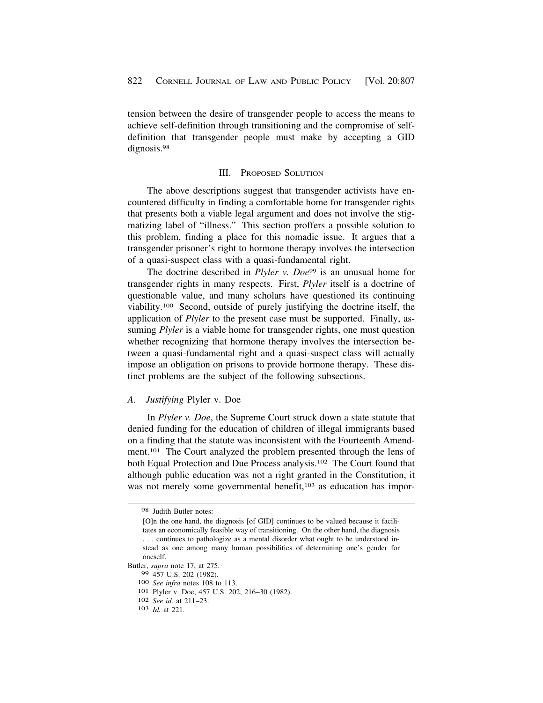tension between the desire of transgender people to access the means to achieve self-definition through transitioning and the compromise of selfdefinition that transgender people must make by accepting a GID dignosis.<sup>98</sup>

#### III. PROPOSED SOLUTION

The above descriptions suggest that transgender activists have encountered difficulty in finding a comfortable home for transgender rights that presents both a viable legal argument and does not involve the stigmatizing label of "illness." This section proffers a possible solution to this problem, finding a place for this nomadic issue. It argues that a transgender prisoner's right to hormone therapy involves the intersection of a quasi-suspect class with a quasi-fundamental right.

The doctrine described in *Plyler v. Doe*<sup>99</sup> is an unusual home for transgender rights in many respects. First, *Plyler* itself is a doctrine of questionable value, and many scholars have questioned its continuing viability.100 Second, outside of purely justifying the doctrine itself, the application of *Plyler* to the present case must be supported. Finally, assuming *Plyler* is a viable home for transgender rights, one must question whether recognizing that hormone therapy involves the intersection between a quasi-fundamental right and a quasi-suspect class will actually impose an obligation on prisons to provide hormone therapy. These distinct problems are the subject of the following subsections.

*A. Justifying* Plyler v. Doe

In *Plyler v. Doe*, the Supreme Court struck down a state statute that denied funding for the education of children of illegal immigrants based on a finding that the statute was inconsistent with the Fourteenth Amendment.101 The Court analyzed the problem presented through the lens of both Equal Protection and Due Process analysis.102 The Court found that although public education was not a right granted in the Constitution, it was not merely some governmental benefit,<sup>103</sup> as education has impor-

<sup>98</sup> Judith Butler notes:

<sup>[</sup>O]n the one hand, the diagnosis [of GID] continues to be valued because it facilitates an economically feasible way of transitioning. On the other hand, the diagnosis . . . continues to pathologize as a mental disorder what ought to be understood instead as one among many human possibilities of determining one's gender for oneself.

Butler, *supra* note 17, at 275.

<sup>100</sup> *See infra* notes 108 to 113.<br>
<sup>101</sup> Plyler v. Doe, 457 U.S. 202, 216–30 (1982).<br>
<sup>102</sup> *See id.* at 211–23.<br>
<sup>103</sup> *Id.* at 221.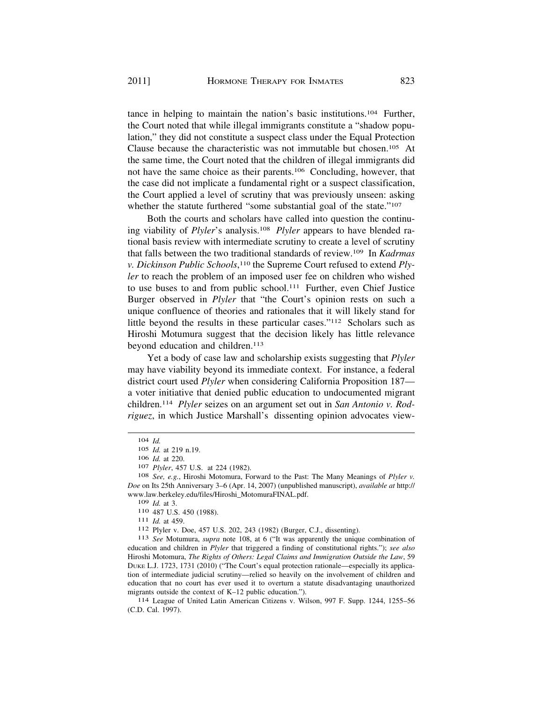tance in helping to maintain the nation's basic institutions.104 Further, the Court noted that while illegal immigrants constitute a "shadow population," they did not constitute a suspect class under the Equal Protection Clause because the characteristic was not immutable but chosen.105 At the same time, the Court noted that the children of illegal immigrants did not have the same choice as their parents.106 Concluding, however, that the case did not implicate a fundamental right or a suspect classification, the Court applied a level of scrutiny that was previously unseen: asking whether the statute furthered "some substantial goal of the state."<sup>107</sup>

Both the courts and scholars have called into question the continuing viability of *Plyler*'s analysis.108 *Plyler* appears to have blended rational basis review with intermediate scrutiny to create a level of scrutiny that falls between the two traditional standards of review.109 In *Kadrmas v. Dickinson Public Schools*, 110 the Supreme Court refused to extend *Plyler* to reach the problem of an imposed user fee on children who wished to use buses to and from public school.111 Further, even Chief Justice Burger observed in *Plyler* that "the Court's opinion rests on such a unique confluence of theories and rationales that it will likely stand for little beyond the results in these particular cases."112 Scholars such as Hiroshi Motumura suggest that the decision likely has little relevance beyond education and children.<sup>113</sup>

Yet a body of case law and scholarship exists suggesting that *Plyler*  may have viability beyond its immediate context. For instance, a federal district court used *Plyler* when considering California Proposition 187 a voter initiative that denied public education to undocumented migrant children.114 *Plyler* seizes on an argument set out in *San Antonio v. Rodriguez*, in which Justice Marshall's dissenting opinion advocates view-

education and children in *Plyler* that triggered a finding of constitutional rights."); *see also*  Hiroshi Motomura, *The Rights of Others: Legal Claims and Immigration Outside the Law*, 59 DUKE L.J. 1723, 1731 (2010) ("The Court's equal protection rationale—especially its application of intermediate judicial scrutiny—relied so heavily on the involvement of children and education that no court has ever used it to overturn a statute disadvantaging unauthorized migrants outside the context of K–12 public education.").<br><sup>114</sup> League of United Latin American Citizens v. Wilson, 997 F. Supp. 1244, 1255–56

(C.D. Cal. 1997).

<sup>104</sup> *Id.* 

<sup>105</sup> *Id.* at 219 n.19.

<sup>106</sup> *Id.* at 220.<br>107 *Plyler*, 457 U.S. at 224 (1982).<br><sup>108</sup> *See, e.g.*, Hiroshi Motomura, Forward to the Past: The Many Meanings of *Plyler v. Doe* on Its 25th Anniversary 3–6 (Apr. 14, 2007) (unpublished manuscript), *available at* http:// [www.law.berkeley.edu/files/Hiroshi\\_MotomuraFINAL.pdf](www.law.berkeley.edu/files/Hiroshi_MotomuraFINAL.pdf).<br>  $109$  *Id.* at 3.<br>  $110$  487 U.S. 450 (1988).<br>  $111$  *Id.* at 459.<br>  $112$  Plyler v. Doe, 457 U.S. 202, 243 (1982) (Burger, C.J., dissenting).<br>  $113$  *See* Motumura,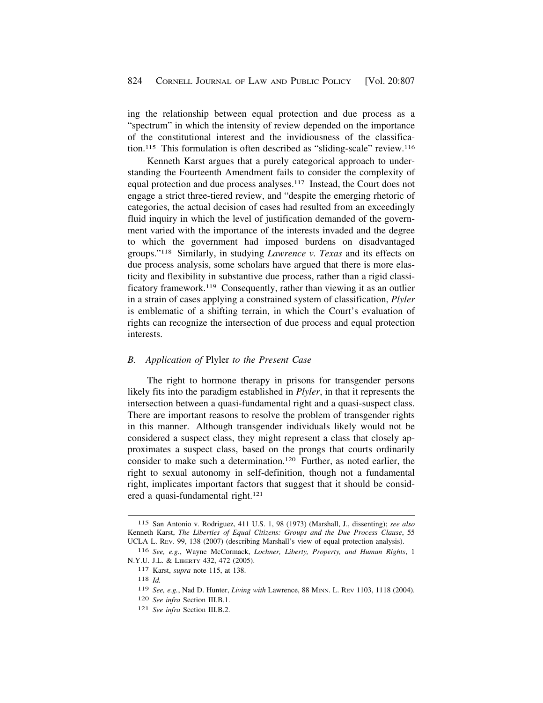ing the relationship between equal protection and due process as a "spectrum" in which the intensity of review depended on the importance of the constitutional interest and the invidiousness of the classification.115 This formulation is often described as "sliding-scale" review.116

Kenneth Karst argues that a purely categorical approach to understanding the Fourteenth Amendment fails to consider the complexity of equal protection and due process analyses.117 Instead, the Court does not engage a strict three-tiered review, and "despite the emerging rhetoric of categories, the actual decision of cases had resulted from an exceedingly fluid inquiry in which the level of justification demanded of the government varied with the importance of the interests invaded and the degree to which the government had imposed burdens on disadvantaged groups."118 Similarly, in studying *Lawrence v. Texas* and its effects on due process analysis, some scholars have argued that there is more elasticity and flexibility in substantive due process, rather than a rigid classificatory framework.119 Consequently, rather than viewing it as an outlier in a strain of cases applying a constrained system of classification, *Plyler*  is emblematic of a shifting terrain, in which the Court's evaluation of rights can recognize the intersection of due process and equal protection interests.

#### *B. Application of* Plyler *to the Present Case*

The right to hormone therapy in prisons for transgender persons likely fits into the paradigm established in *Plyler*, in that it represents the intersection between a quasi-fundamental right and a quasi-suspect class. There are important reasons to resolve the problem of transgender rights in this manner. Although transgender individuals likely would not be considered a suspect class, they might represent a class that closely approximates a suspect class, based on the prongs that courts ordinarily consider to make such a determination.120 Further, as noted earlier, the right to sexual autonomy in self-definition, though not a fundamental right, implicates important factors that suggest that it should be considered a quasi-fundamental right.121

<sup>115</sup> San Antonio v. Rodriguez, 411 U.S. 1, 98 (1973) (Marshall, J., dissenting); *see also*  Kenneth Karst, *The Liberties of Equal Citizens: Groups and the Due Process Clause*, 55 UCLA L. REV. 99, 138 (2007) (describing Marshall's view of equal protection analysis).

<sup>116</sup> *See, e.g.*, Wayne McCormack, *Lochner, Liberty, Property, and Human Rights*, 1 N.Y.U. J.L. & LIBERTY 432, 472 (2005).

<sup>117</sup> Karst, *supra* note 115, at 138.

<sup>118</sup> *Id.* 

<sup>119</sup> *See, e.g.*, Nad D. Hunter, *Living with* Lawrence, 88 MINN. L. REV 1103, 1118 (2004).

<sup>120</sup> *See infra* Section III.B.1.

<sup>121</sup> *See infra* Section III.B.2.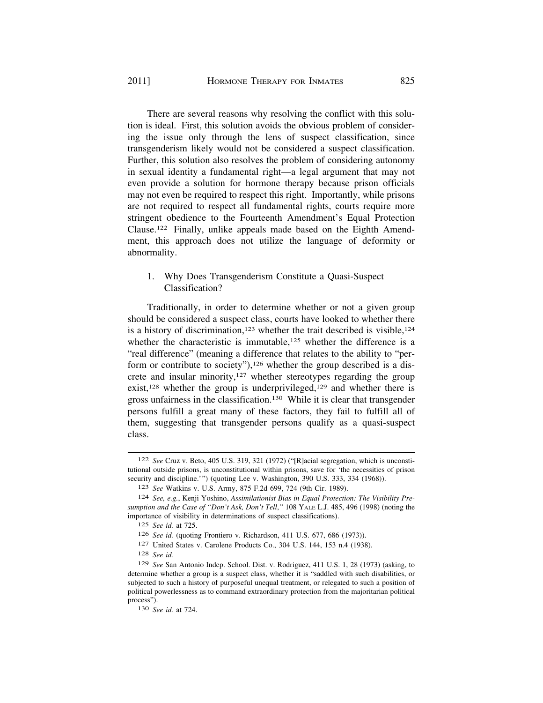There are several reasons why resolving the conflict with this solution is ideal. First, this solution avoids the obvious problem of considering the issue only through the lens of suspect classification, since transgenderism likely would not be considered a suspect classification. Further, this solution also resolves the problem of considering autonomy in sexual identity a fundamental right—a legal argument that may not even provide a solution for hormone therapy because prison officials may not even be required to respect this right. Importantly, while prisons are not required to respect all fundamental rights, courts require more stringent obedience to the Fourteenth Amendment's Equal Protection Clause.122 Finally, unlike appeals made based on the Eighth Amendment, this approach does not utilize the language of deformity or abnormality.

1. Why Does Transgenderism Constitute a Quasi-Suspect Classification?

Traditionally, in order to determine whether or not a given group should be considered a suspect class, courts have looked to whether there is a history of discrimination,<sup>123</sup> whether the trait described is visible,<sup>124</sup> whether the characteristic is immutable, $125$  whether the difference is a "real difference" (meaning a difference that relates to the ability to "perform or contribute to society"),<sup>126</sup> whether the group described is a discrete and insular minority, $127$  whether stereotypes regarding the group exist,<sup>128</sup> whether the group is underprivileged,<sup>129</sup> and whether there is gross unfairness in the classification.130 While it is clear that transgender persons fulfill a great many of these factors, they fail to fulfill all of them, suggesting that transgender persons qualify as a quasi-suspect class.

128 *See id.* 

<sup>122</sup> *See* Cruz v. Beto, 405 U.S. 319, 321 (1972) ("[R]acial segregation, which is unconstitutional outside prisons, is unconstitutional within prisons, save for 'the necessities of prison security and discipline.'") (quoting Lee v. Washington, 390 U.S. 333, 334 (1968)).

<sup>123</sup> *See* Watkins v. U.S. Army, 875 F.2d 699, 724 (9th Cir. 1989).

<sup>124</sup> *See, e.g.*, Kenji Yoshino, *Assimilationist Bias in Equal Protection: The Visibility Presumption and the Case of "Don't Ask, Don't Tell*,*"* 108 YALE L.J. 485, 496 (1998) (noting the importance of visibility in determinations of suspect classifications).

<sup>125</sup> *See id.* at 725.

<sup>126</sup> *See id.* (quoting Frontiero v. Richardson, 411 U.S. 677, 686 (1973)).

<sup>127</sup> United States v. Carolene Products Co., 304 U.S. 144, 153 n.4 (1938).

<sup>129</sup> *See* San Antonio Indep. School. Dist. v. Rodriguez, 411 U.S. 1, 28 (1973) (asking, to determine whether a group is a suspect class, whether it is "saddled with such disabilities, or subjected to such a history of purposeful unequal treatment, or relegated to such a position of political powerlessness as to command extraordinary protection from the majoritarian political process").

<sup>130</sup> *See id.* at 724.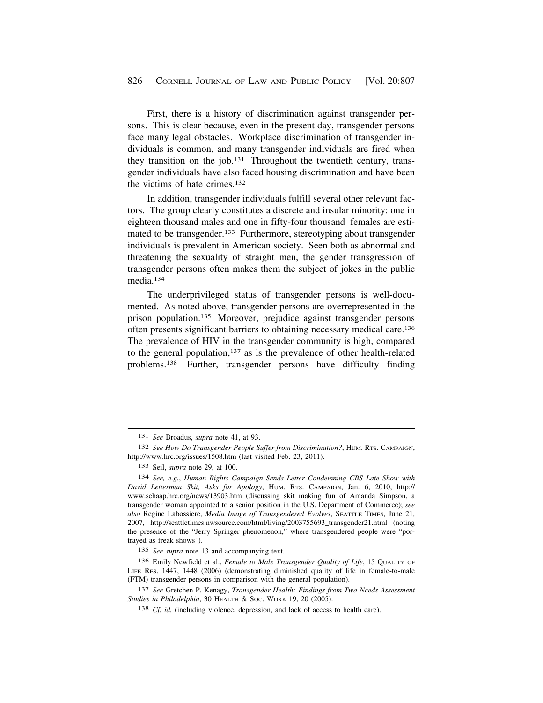First, there is a history of discrimination against transgender persons. This is clear because, even in the present day, transgender persons face many legal obstacles. Workplace discrimination of transgender individuals is common, and many transgender individuals are fired when they transition on the job.131 Throughout the twentieth century, transgender individuals have also faced housing discrimination and have been the victims of hate crimes.132

In addition, transgender individuals fulfill several other relevant factors. The group clearly constitutes a discrete and insular minority: one in eighteen thousand males and one in fifty-four thousand females are estimated to be transgender.<sup>133</sup> Furthermore, stereotyping about transgender individuals is prevalent in American society. Seen both as abnormal and threatening the sexuality of straight men, the gender transgression of transgender persons often makes them the subject of jokes in the public media.134

The underprivileged status of transgender persons is well-documented. As noted above, transgender persons are overrepresented in the prison population.135 Moreover, prejudice against transgender persons often presents significant barriers to obtaining necessary medical care.136 The prevalence of HIV in the transgender community is high, compared to the general population, $137$  as is the prevalence of other health-related problems.138 Further, transgender persons have difficulty finding

<sup>131</sup> *See* Broadus, *supra* note 41, at 93.

<sup>132</sup> *See How Do Transgender People Suffer from Discrimination?*, HUM. RTS. CAMPAIGN, <http://www.hrc.org/issues/1508.htm>(last visited Feb. 23, 2011).

<sup>133</sup> Seil, *supra* note 29, at 100.

<sup>134</sup> *See, e.g.*, *Human Rights Campaign Sends Letter Condemning CBS Late Show with David Letterman Skit, Asks for Apology*, HUM. RTS. CAMPAIGN, Jan. 6, 2010, http:// <www.schaap.hrc.org/news/13903.htm>(discussing skit making fun of Amanda Simpson, a transgender woman appointed to a senior position in the U.S. Department of Commerce); *see also* Regine Labossiere, *Media Image of Transgendered Evolves*, SEATTLE TIMES, June 21, 2007, [http://seattletimes.nwsource.com/html/living/2003755693\\_transgender21.html](http://seattletimes.nwsource.com/html/living/2003755693_transgender21.html) (noting the presence of the "Jerry Springer phenomenon," where transgendered people were "portrayed as freak shows").

<sup>135</sup> *See supra* note 13 and accompanying text.

<sup>136</sup> Emily Newfield et al., *Female to Male Transgender Quality of Life*, 15 QUALITY OF LIFE RES. 1447, 1448 (2006) (demonstrating diminished quality of life in female-to-male (FTM) transgender persons in comparison with the general population).

<sup>137</sup> *See* Gretchen P. Kenagy, *Transgender Health: Findings from Two Needs Assessment Studies in Philadelphia*, 30 HEALTH & SOC. WORK 19, 20 (2005).

<sup>138</sup> *Cf. id.* (including violence, depression, and lack of access to health care).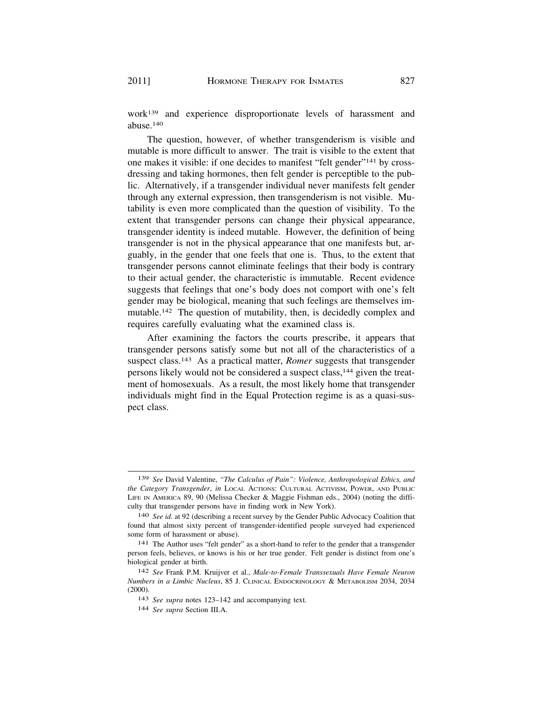work139 and experience disproportionate levels of harassment and abuse.140

The question, however, of whether transgenderism is visible and mutable is more difficult to answer. The trait is visible to the extent that one makes it visible: if one decides to manifest "felt gender"141 by crossdressing and taking hormones, then felt gender is perceptible to the public. Alternatively, if a transgender individual never manifests felt gender through any external expression, then transgenderism is not visible. Mutability is even more complicated than the question of visibility. To the extent that transgender persons can change their physical appearance, transgender identity is indeed mutable. However, the definition of being transgender is not in the physical appearance that one manifests but, arguably, in the gender that one feels that one is. Thus, to the extent that transgender persons cannot eliminate feelings that their body is contrary to their actual gender, the characteristic is immutable. Recent evidence suggests that feelings that one's body does not comport with one's felt gender may be biological, meaning that such feelings are themselves immutable.<sup>142</sup> The question of mutability, then, is decidedly complex and requires carefully evaluating what the examined class is.

After examining the factors the courts prescribe, it appears that transgender persons satisfy some but not all of the characteristics of a suspect class.143 As a practical matter, *Romer* suggests that transgender persons likely would not be considered a suspect class,<sup>144</sup> given the treatment of homosexuals. As a result, the most likely home that transgender individuals might find in the Equal Protection regime is as a quasi-suspect class.

<sup>139</sup> *See* David Valentine, *"The Calculus of Pain": Violence, Anthropological Ethics, and the Category Transgender*, *in* LOCAL ACTIONS: CULTURAL ACTIVISM, POWER, AND PUBLIC LIFE IN AMERICA 89, 90 (Melissa Checker & Maggie Fishman eds., 2004) (noting the difficulty that transgender persons have in finding work in New York).

<sup>140</sup> *See id.* at 92 (describing a recent survey by the Gender Public Advocacy Coalition that found that almost sixty percent of transgender-identified people surveyed had experienced some form of harassment or abuse).

<sup>141</sup> The Author uses "felt gender" as a short-hand to refer to the gender that a transgender person feels, believes, or knows is his or her true gender. Felt gender is distinct from one's biological gender at birth.

<sup>142</sup> *See* Frank P.M. Kruijver et al., *Male-to-Female Transsexuals Have Female Neuron Numbers in a Limbic Nucleus*, 85 J. CLINICAL ENDOCRINOLOGY & METABOLISM 2034, 2034 (2000).

<sup>143</sup> *See supra* notes 123–142 and accompanying text.

<sup>144</sup> *See supra* Section III.A.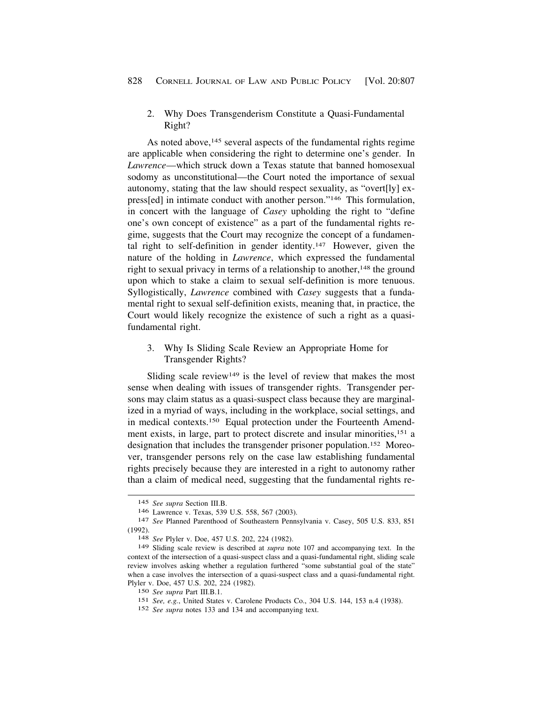2. Why Does Transgenderism Constitute a Quasi-Fundamental Right?

As noted above,<sup>145</sup> several aspects of the fundamental rights regime are applicable when considering the right to determine one's gender. In *Lawrence*—which struck down a Texas statute that banned homosexual sodomy as unconstitutional—the Court noted the importance of sexual autonomy, stating that the law should respect sexuality, as "overt[ly] express[ed] in intimate conduct with another person."146 This formulation, in concert with the language of *Casey* upholding the right to "define one's own concept of existence" as a part of the fundamental rights regime, suggests that the Court may recognize the concept of a fundamental right to self-definition in gender identity.147 However, given the nature of the holding in *Lawrence*, which expressed the fundamental right to sexual privacy in terms of a relationship to another,  $148$  the ground upon which to stake a claim to sexual self-definition is more tenuous. Syllogistically, *Lawrence* combined with *Casey* suggests that a fundamental right to sexual self-definition exists, meaning that, in practice, the Court would likely recognize the existence of such a right as a quasifundamental right.

3. Why Is Sliding Scale Review an Appropriate Home for Transgender Rights?

Sliding scale review<sup>149</sup> is the level of review that makes the most sense when dealing with issues of transgender rights. Transgender persons may claim status as a quasi-suspect class because they are marginalized in a myriad of ways, including in the workplace, social settings, and in medical contexts.150 Equal protection under the Fourteenth Amendment exists, in large, part to protect discrete and insular minorities,<sup>151</sup> a designation that includes the transgender prisoner population.152 Moreover, transgender persons rely on the case law establishing fundamental rights precisely because they are interested in a right to autonomy rather than a claim of medical need, suggesting that the fundamental rights re-

<sup>145</sup> *See supra* Section III.B.

<sup>147</sup> See Planned Parenthood of Southeastern Pennsylvania v. Casey, 505 U.S. 833, 851 (1992). 148 *See* Plyler v. Doe, 457 U.S. 202, 224 (1982).

<sup>149</sup> Sliding scale review is described at *supra* note 107 and accompanying text. In the context of the intersection of a quasi-suspect class and a quasi-fundamental right, sliding scale review involves asking whether a regulation furthered "some substantial goal of the state" when a case involves the intersection of a quasi-suspect class and a quasi-fundamental right. Plyler v. Doe, 457 U.S. 202, 224 (1982).

<sup>150</sup> *See supra* Part III.B.1.

<sup>151</sup> *See, e.g.*, United States v. Carolene Products Co., 304 U.S. 144, 153 n.4 (1938).

<sup>152</sup> *See supra* notes 133 and 134 and accompanying text.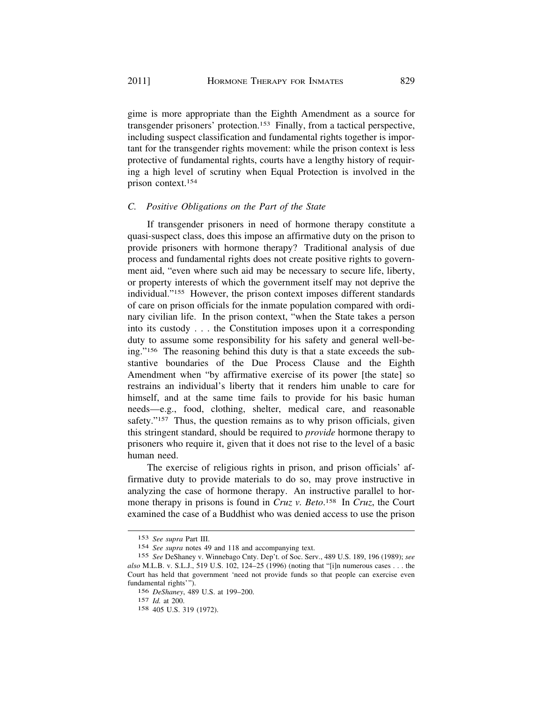gime is more appropriate than the Eighth Amendment as a source for transgender prisoners' protection.153 Finally, from a tactical perspective, including suspect classification and fundamental rights together is important for the transgender rights movement: while the prison context is less protective of fundamental rights, courts have a lengthy history of requiring a high level of scrutiny when Equal Protection is involved in the prison context.154

# *C. Positive Obligations on the Part of the State*

If transgender prisoners in need of hormone therapy constitute a quasi-suspect class, does this impose an affirmative duty on the prison to provide prisoners with hormone therapy? Traditional analysis of due process and fundamental rights does not create positive rights to government aid, "even where such aid may be necessary to secure life, liberty, or property interests of which the government itself may not deprive the individual."155 However, the prison context imposes different standards of care on prison officials for the inmate population compared with ordinary civilian life. In the prison context, "when the State takes a person into its custody . . . the Constitution imposes upon it a corresponding duty to assume some responsibility for his safety and general well-being."156 The reasoning behind this duty is that a state exceeds the substantive boundaries of the Due Process Clause and the Eighth Amendment when "by affirmative exercise of its power [the state] so restrains an individual's liberty that it renders him unable to care for himself, and at the same time fails to provide for his basic human needs—e.g., food, clothing, shelter, medical care, and reasonable safety."<sup>157</sup> Thus, the question remains as to why prison officials, given this stringent standard, should be required to *provide* hormone therapy to prisoners who require it, given that it does not rise to the level of a basic human need.

The exercise of religious rights in prison, and prison officials' affirmative duty to provide materials to do so, may prove instructive in analyzing the case of hormone therapy. An instructive parallel to hormone therapy in prisons is found in *Cruz v. Beto*. 158 In *Cruz*, the Court examined the case of a Buddhist who was denied access to use the prison

<sup>153</sup> *See supra* Part III.

<sup>154</sup> *See supra* notes 49 and 118 and accompanying text.

<sup>155</sup> *See* DeShaney v. Winnebago Cnty. Dep't. of Soc. Serv., 489 U.S. 189, 196 (1989); *see also* M.L.B. v. S.L.J., 519 U.S. 102, 124–25 (1996) (noting that "[i]n numerous cases . . . the Court has held that government 'need not provide funds so that people can exercise even fundamental rights'").

<sup>156</sup> *DeShaney*, 489 U.S. at 199–200.

<sup>157</sup> *Id.* at 200.

<sup>158 405</sup> U.S. 319 (1972).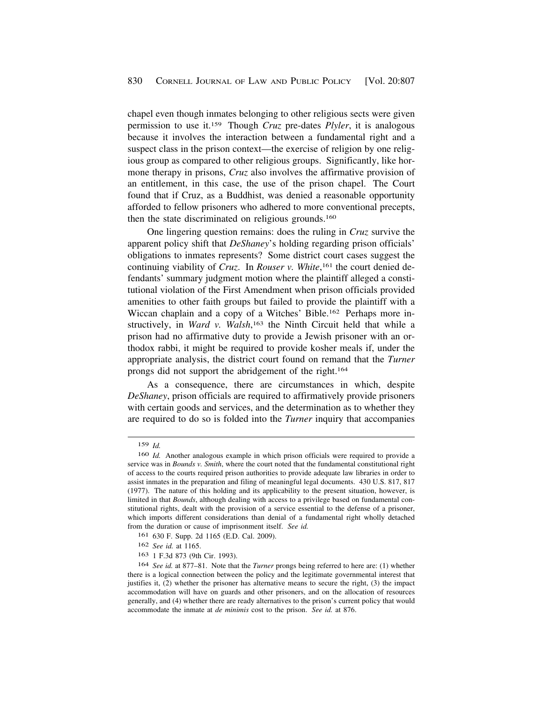chapel even though inmates belonging to other religious sects were given permission to use it.159 Though *Cruz* pre-dates *Plyler*, it is analogous because it involves the interaction between a fundamental right and a suspect class in the prison context—the exercise of religion by one religious group as compared to other religious groups. Significantly, like hormone therapy in prisons, *Cruz* also involves the affirmative provision of an entitlement, in this case, the use of the prison chapel. The Court found that if Cruz, as a Buddhist, was denied a reasonable opportunity afforded to fellow prisoners who adhered to more conventional precepts, then the state discriminated on religious grounds.160

One lingering question remains: does the ruling in *Cruz* survive the apparent policy shift that *DeShaney*'s holding regarding prison officials' obligations to inmates represents? Some district court cases suggest the continuing viability of *Cruz*. In *Rouser v. White*, 161 the court denied defendants' summary judgment motion where the plaintiff alleged a constitutional violation of the First Amendment when prison officials provided amenities to other faith groups but failed to provide the plaintiff with a Wiccan chaplain and a copy of a Witches' Bible.162 Perhaps more instructively, in *Ward v. Walsh*, 163 the Ninth Circuit held that while a prison had no affirmative duty to provide a Jewish prisoner with an orthodox rabbi, it might be required to provide kosher meals if, under the appropriate analysis, the district court found on remand that the *Turner*  prongs did not support the abridgement of the right.164

As a consequence, there are circumstances in which, despite *DeShaney*, prison officials are required to affirmatively provide prisoners with certain goods and services, and the determination as to whether they are required to do so is folded into the *Turner* inquiry that accompanies

<sup>159</sup> *Id.* 

<sup>160</sup> *Id.* Another analogous example in which prison officials were required to provide a service was in *Bounds v. Smith*, where the court noted that the fundamental constitutional right of access to the courts required prison authorities to provide adequate law libraries in order to assist inmates in the preparation and filing of meaningful legal documents. 430 U.S. 817, 817 (1977). The nature of this holding and its applicability to the present situation, however, is limited in that *Bounds*, although dealing with access to a privilege based on fundamental constitutional rights, dealt with the provision of a service essential to the defense of a prisoner, which imports different considerations than denial of a fundamental right wholly detached from the duration or cause of imprisonment itself. *See id.* 

<sup>161 630</sup> F. Supp. 2d 1165 (E.D. Cal. 2009).

<sup>162</sup> *See id.* at 1165.

<sup>163 1</sup> F.3d 873 (9th Cir. 1993).

<sup>164</sup> *See id.* at 877–81. Note that the *Turner* prongs being referred to here are: (1) whether there is a logical connection between the policy and the legitimate governmental interest that justifies it, (2) whether the prisoner has alternative means to secure the right, (3) the impact accommodation will have on guards and other prisoners, and on the allocation of resources generally, and (4) whether there are ready alternatives to the prison's current policy that would accommodate the inmate at *de minimis* cost to the prison. *See id.* at 876.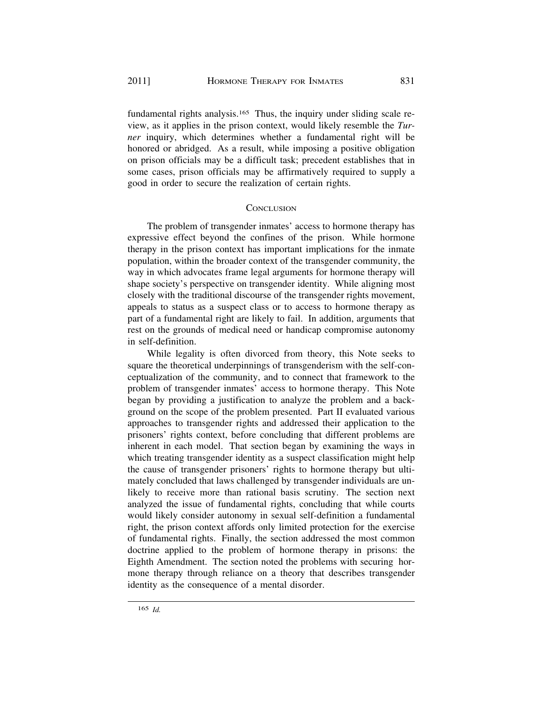fundamental rights analysis.165 Thus, the inquiry under sliding scale review, as it applies in the prison context, would likely resemble the *Turner* inquiry, which determines whether a fundamental right will be honored or abridged. As a result, while imposing a positive obligation on prison officials may be a difficult task; precedent establishes that in some cases, prison officials may be affirmatively required to supply a good in order to secure the realization of certain rights.

# **CONCLUSION**

The problem of transgender inmates' access to hormone therapy has expressive effect beyond the confines of the prison. While hormone therapy in the prison context has important implications for the inmate population, within the broader context of the transgender community, the way in which advocates frame legal arguments for hormone therapy will shape society's perspective on transgender identity. While aligning most closely with the traditional discourse of the transgender rights movement, appeals to status as a suspect class or to access to hormone therapy as part of a fundamental right are likely to fail. In addition, arguments that rest on the grounds of medical need or handicap compromise autonomy in self-definition.

While legality is often divorced from theory, this Note seeks to square the theoretical underpinnings of transgenderism with the self-conceptualization of the community, and to connect that framework to the problem of transgender inmates' access to hormone therapy. This Note began by providing a justification to analyze the problem and a background on the scope of the problem presented. Part II evaluated various approaches to transgender rights and addressed their application to the prisoners' rights context, before concluding that different problems are inherent in each model. That section began by examining the ways in which treating transgender identity as a suspect classification might help the cause of transgender prisoners' rights to hormone therapy but ultimately concluded that laws challenged by transgender individuals are unlikely to receive more than rational basis scrutiny. The section next analyzed the issue of fundamental rights, concluding that while courts would likely consider autonomy in sexual self-definition a fundamental right, the prison context affords only limited protection for the exercise of fundamental rights. Finally, the section addressed the most common doctrine applied to the problem of hormone therapy in prisons: the Eighth Amendment. The section noted the problems with securing hormone therapy through reliance on a theory that describes transgender identity as the consequence of a mental disorder.